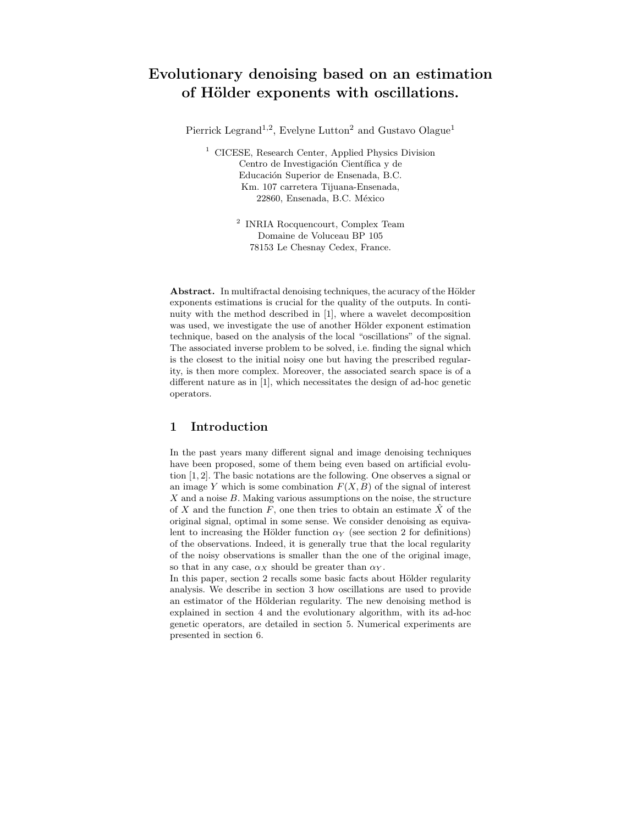# Evolutionary denoising based on an estimation of Hölder exponents with oscillations.

Pierrick Legrand<sup>1,2</sup>, Evelyne Lutton<sup>2</sup> and Gustavo Olague<sup>1</sup>

<sup>1</sup> CICESE, Research Center, Applied Physics Division Centro de Investigación Científica y de Educación Superior de Ensenada, B.C. Km. 107 carretera Tijuana-Ensenada, 22860, Ensenada, B.C. México

> 2 INRIA Rocquencourt, Complex Team Domaine de Voluceau BP 105 78153 Le Chesnay Cedex, France.

Abstract. In multifractal denoising techniques, the acuracy of the Hölder exponents estimations is crucial for the quality of the outputs. In continuity with the method described in [1], where a wavelet decomposition was used, we investigate the use of another Hölder exponent estimation technique, based on the analysis of the local "oscillations" of the signal. The associated inverse problem to be solved, i.e. finding the signal which is the closest to the initial noisy one but having the prescribed regularity, is then more complex. Moreover, the associated search space is of a different nature as in [1], which necessitates the design of ad-hoc genetic operators.

### 1 Introduction

In the past years many different signal and image denoising techniques have been proposed, some of them being even based on artificial evolution [1, 2]. The basic notations are the following. One observes a signal or an image Y which is some combination  $F(X, B)$  of the signal of interest  $X$  and a noise  $B$ . Making various assumptions on the noise, the structure of X and the function F, one then tries to obtain an estimate  $\hat{X}$  of the original signal, optimal in some sense. We consider denoising as equivalent to increasing the Hölder function  $\alpha_Y$  (see section 2 for definitions) of the observations. Indeed, it is generally true that the local regularity of the noisy observations is smaller than the one of the original image, so that in any case,  $\alpha_X$  should be greater than  $\alpha_Y$ .

In this paper, section 2 recalls some basic facts about Hölder regularity analysis. We describe in section 3 how oscillations are used to provide an estimator of the Hölderian regularity. The new denoising method is explained in section 4 and the evolutionary algorithm, with its ad-hoc genetic operators, are detailed in section 5. Numerical experiments are presented in section 6.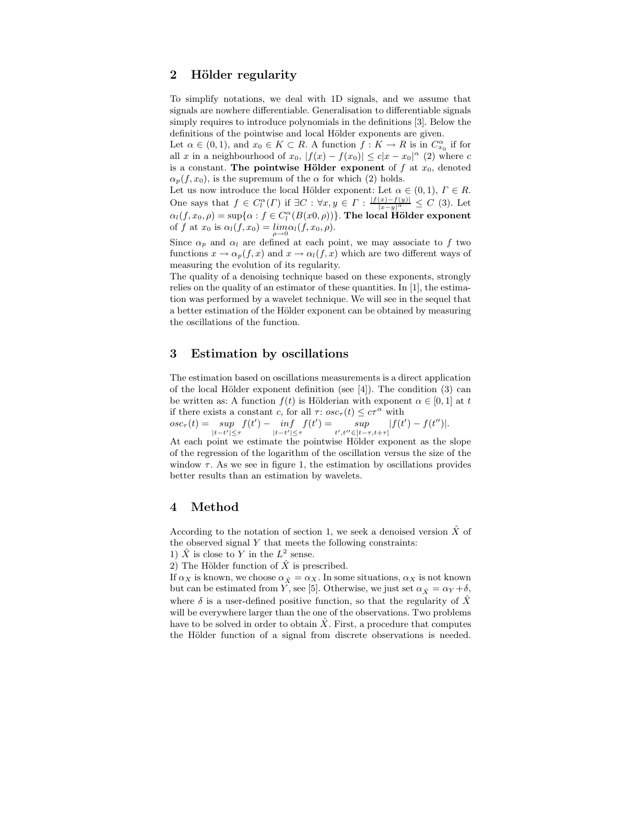# 2 Hölder regularity

To simplify notations, we deal with 1D signals, and we assume that signals are nowhere differentiable. Generalisation to differentiable signals simply requires to introduce polynomials in the definitions [3]. Below the definitions of the pointwise and local Hölder exponents are given.

Let  $\alpha \in (0,1)$ , and  $x_0 \in K \subset R$ . A function  $f: K \to R$  is in  $C_{x_0}^{\alpha}$  if for all x in a neighbourhood of  $x_0$ ,  $|f(x) - f(x_0)| \leq c|x - x_0|^{\alpha}$  (2) where c is a constant. The pointwise Hölder exponent of  $f$  at  $x_0$ , denoted  $\alpha_p(f, x_0)$ , is the supremum of the  $\alpha$  for which (2) holds.

Let us now introduce the local Hölder exponent: Let  $\alpha \in (0,1)$ ,  $\Gamma \in R$ . One says that  $f \in C_l^{\alpha}(\Gamma)$  if  $\exists C : \forall x, y \in \Gamma : \frac{|f(x)-f(y)|}{|x-y|^{\alpha}} \leq C$  (3). Let  $\alpha_l(f, x_0, \rho) = \sup \{ \alpha : f \in C_l^{\alpha}(B(x0, \rho)) \}.$  The local Hölder exponent of f at  $x_0$  is  $\alpha_l(f, x_0) = \lim_{\rho \to 0} \alpha_l(f, x_0, \rho)$ .

Since  $\alpha_p$  and  $\alpha_l$  are defined at each point, we may associate to f two functions  $x \to \alpha_p(f, x)$  and  $x \to \alpha_l(f, x)$  which are two different ways of measuring the evolution of its regularity.

The quality of a denoising technique based on these exponents, strongly relies on the quality of an estimator of these quantities. In [1], the estimation was performed by a wavelet technique. We will see in the sequel that a better estimation of the Hölder exponent can be obtained by measuring the oscillations of the function.

#### 3 Estimation by oscillations

The estimation based on oscillations measurements is a direct application of the local Hölder exponent definition (see  $[4]$ ). The condition  $(3)$  can be written as: A function  $f(t)$  is Hölderian with exponent  $\alpha \in [0, 1]$  at t if there exists a constant c, for all  $\tau$ :  $osc_{\tau}(t) \leq c\tau^{\alpha}$  with

 $osc_{\tau}(t) = \sup_{|t-t'| \leq \tau} f(t') - \inf_{|t-t'| \leq \tau} f(t') = \sup_{t',t'' \in [t-\tau,t+\tau]} |f(t') - f(t'')|.$ 

At each point we estimate the pointwise Hölder exponent as the slope of the regression of the logarithm of the oscillation versus the size of the window  $\tau$ . As we see in figure 1, the estimation by oscillations provides better results than an estimation by wavelets.

# 4 Method

According to the notation of section 1, we seek a denoised version  $\hat{X}$  of the observed signal  $Y$  that meets the following constraints:

1)  $\hat{X}$  is close to Y in the  $L^2$  sense.

2) The Hölder function of  $\hat{X}$  is prescribed.

If  $\alpha_X$  is known, we choose  $\alpha_{\hat X} = \alpha_X.$  In some situations,  $\alpha_X$  is not known but can be estimated from Y, see [5]. Otherwise, we just set  $\alpha_{\hat{X}} = \alpha_Y + \delta$ , where  $\delta$  is a user-defined positive function, so that the regularity of  $\hat{X}$ will be everywhere larger than the one of the observations. Two problems have to be solved in order to obtain  $\hat{X}$ . First, a procedure that computes the Hölder function of a signal from discrete observations is needed.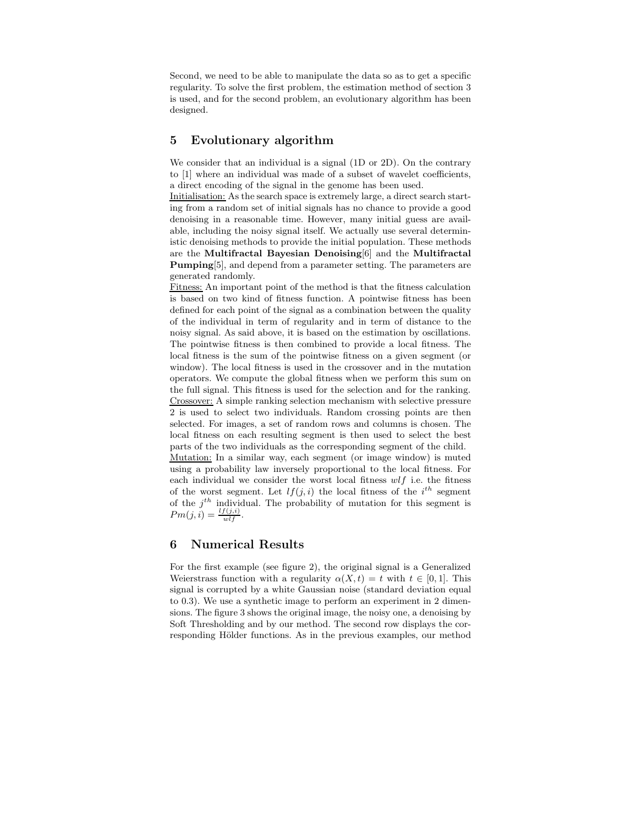Second, we need to be able to manipulate the data so as to get a specific regularity. To solve the first problem, the estimation method of section 3 is used, and for the second problem, an evolutionary algorithm has been designed.

## 5 Evolutionary algorithm

We consider that an individual is a signal (1D or 2D). On the contrary to [1] where an individual was made of a subset of wavelet coefficients, a direct encoding of the signal in the genome has been used.

Initialisation: As the search space is extremely large, a direct search starting from a random set of initial signals has no chance to provide a good denoising in a reasonable time. However, many initial guess are available, including the noisy signal itself. We actually use several deterministic denoising methods to provide the initial population. These methods are the Multifractal Bayesian Denoising[6] and the Multifractal Pumping[5], and depend from a parameter setting. The parameters are generated randomly.

Fitness: An important point of the method is that the fitness calculation is based on two kind of fitness function. A pointwise fitness has been defined for each point of the signal as a combination between the quality of the individual in term of regularity and in term of distance to the noisy signal. As said above, it is based on the estimation by oscillations. The pointwise fitness is then combined to provide a local fitness. The local fitness is the sum of the pointwise fitness on a given segment (or window). The local fitness is used in the crossover and in the mutation operators. We compute the global fitness when we perform this sum on the full signal. This fitness is used for the selection and for the ranking. Crossover: A simple ranking selection mechanism with selective pressure 2 is used to select two individuals. Random crossing points are then selected. For images, a set of random rows and columns is chosen. The local fitness on each resulting segment is then used to select the best parts of the two individuals as the corresponding segment of the child.

Mutation: In a similar way, each segment (or image window) is muted using a probability law inversely proportional to the local fitness. For each individual we consider the worst local fitness  $w l f$  i.e. the fitness of the worst segment. Let  $lf(j, i)$  the local fitness of the  $i<sup>th</sup>$  segment of the  $j^{th}$  individual. The probability of mutation for this segment is  $Pm(j,i) = \frac{lf(j,i)}{wlf}.$ 

### 6 Numerical Results

For the first example (see figure 2), the original signal is a Generalized Weierstrass function with a regularity  $\alpha(X, t) = t$  with  $t \in [0, 1]$ . This signal is corrupted by a white Gaussian noise (standard deviation equal to 0.3). We use a synthetic image to perform an experiment in 2 dimensions. The figure 3 shows the original image, the noisy one, a denoising by Soft Thresholding and by our method. The second row displays the corresponding Hölder functions. As in the previous examples, our method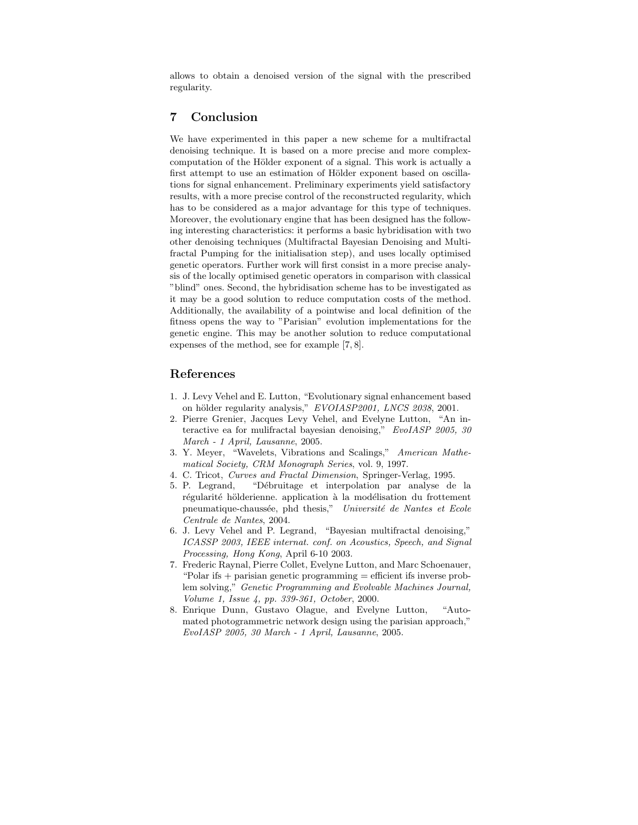allows to obtain a denoised version of the signal with the prescribed regularity.

# 7 Conclusion

We have experimented in this paper a new scheme for a multifractal denoising technique. It is based on a more precise and more complexcomputation of the Hölder exponent of a signal. This work is actually a first attempt to use an estimation of Hölder exponent based on oscillations for signal enhancement. Preliminary experiments yield satisfactory results, with a more precise control of the reconstructed regularity, which has to be considered as a major advantage for this type of techniques. Moreover, the evolutionary engine that has been designed has the following interesting characteristics: it performs a basic hybridisation with two other denoising techniques (Multifractal Bayesian Denoising and Multifractal Pumping for the initialisation step), and uses locally optimised genetic operators. Further work will first consist in a more precise analysis of the locally optimised genetic operators in comparison with classical "blind" ones. Second, the hybridisation scheme has to be investigated as it may be a good solution to reduce computation costs of the method. Additionally, the availability of a pointwise and local definition of the fitness opens the way to "Parisian" evolution implementations for the genetic engine. This may be another solution to reduce computational expenses of the method, see for example [7, 8].

### References

- 1. J. Levy Vehel and E. Lutton, "Evolutionary signal enhancement based on hölder regularity analysis," EVOIASP2001, LNCS 2038, 2001.
- 2. Pierre Grenier, Jacques Levy Vehel, and Evelyne Lutton, "An interactive ea for mulifractal bayesian denoising," EvoIASP 2005, 30 March - 1 April, Lausanne, 2005.
- 3. Y. Meyer, "Wavelets, Vibrations and Scalings," American Mathematical Society, CRM Monograph Series, vol. 9, 1997.
- 4. C. Tricot, Curves and Fractal Dimension, Springer-Verlag, 1995.
- 5. P. Legrand, "Débruitage et interpolation par analyse de la régularité hölderienne. application à la modélisation du frottement pneumatique-chaussée, phd thesis," Université de Nantes et Ecole Centrale de Nantes, 2004.
- 6. J. Levy Vehel and P. Legrand, "Bayesian multifractal denoising," ICASSP 2003, IEEE internat. conf. on Acoustics, Speech, and Signal Processing, Hong Kong, April 6-10 2003.
- 7. Frederic Raynal, Pierre Collet, Evelyne Lutton, and Marc Schoenauer, "Polar if  $s +$  parisian genetic programming  $=$  efficient if inverse problem solving," Genetic Programming and Evolvable Machines Journal, Volume 1, Issue 4, pp. 339-361, October, 2000.
- 8. Enrique Dunn, Gustavo Olague, and Evelyne Lutton, "Automated photogrammetric network design using the parisian approach," EvoIASP 2005, 30 March - 1 April, Lausanne, 2005.